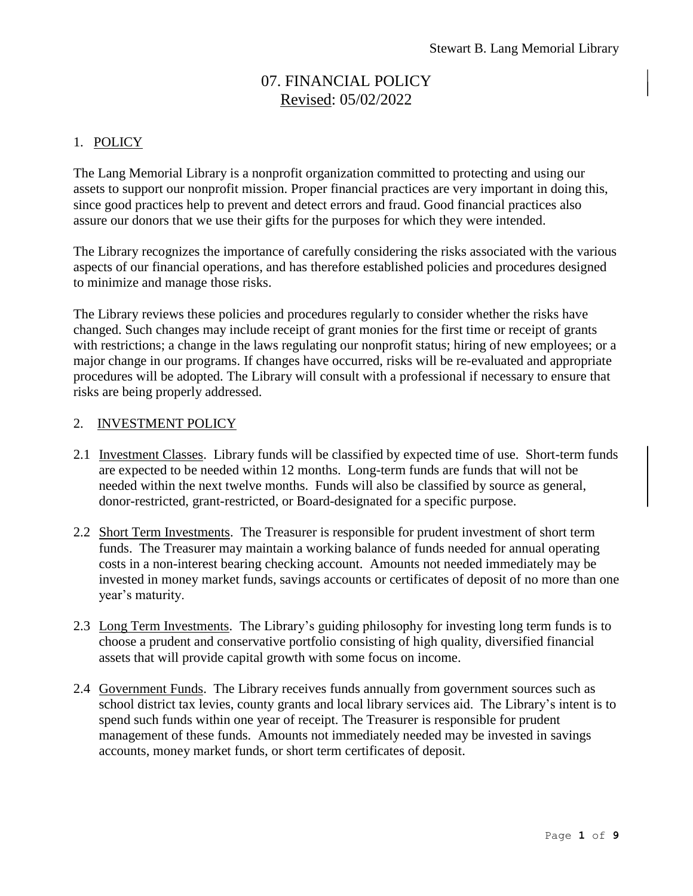# 07. FINANCIAL POLICY Revised: 05/02/2022

# 1. POLICY

The Lang Memorial Library is a nonprofit organization committed to protecting and using our assets to support our nonprofit mission. Proper financial practices are very important in doing this, since good practices help to prevent and detect errors and fraud. Good financial practices also assure our donors that we use their gifts for the purposes for which they were intended.

The Library recognizes the importance of carefully considering the risks associated with the various aspects of our financial operations, and has therefore established policies and procedures designed to minimize and manage those risks.

The Library reviews these policies and procedures regularly to consider whether the risks have changed. Such changes may include receipt of grant monies for the first time or receipt of grants with restrictions; a change in the laws regulating our nonprofit status; hiring of new employees; or a major change in our programs. If changes have occurred, risks will be re-evaluated and appropriate procedures will be adopted. The Library will consult with a professional if necessary to ensure that risks are being properly addressed.

# 2. INVESTMENT POLICY

- 2.1 Investment Classes. Library funds will be classified by expected time of use. Short-term funds are expected to be needed within 12 months. Long-term funds are funds that will not be needed within the next twelve months. Funds will also be classified by source as general, donor-restricted, grant-restricted, or Board-designated for a specific purpose.
- 2.2 Short Term Investments. The Treasurer is responsible for prudent investment of short term funds. The Treasurer may maintain a working balance of funds needed for annual operating costs in a non-interest bearing checking account. Amounts not needed immediately may be invested in money market funds, savings accounts or certificates of deposit of no more than one year's maturity.
- 2.3 Long Term Investments. The Library's guiding philosophy for investing long term funds is to choose a prudent and conservative portfolio consisting of high quality, diversified financial assets that will provide capital growth with some focus on income.
- 2.4 Government Funds. The Library receives funds annually from government sources such as school district tax levies, county grants and local library services aid. The Library's intent is to spend such funds within one year of receipt. The Treasurer is responsible for prudent management of these funds. Amounts not immediately needed may be invested in savings accounts, money market funds, or short term certificates of deposit.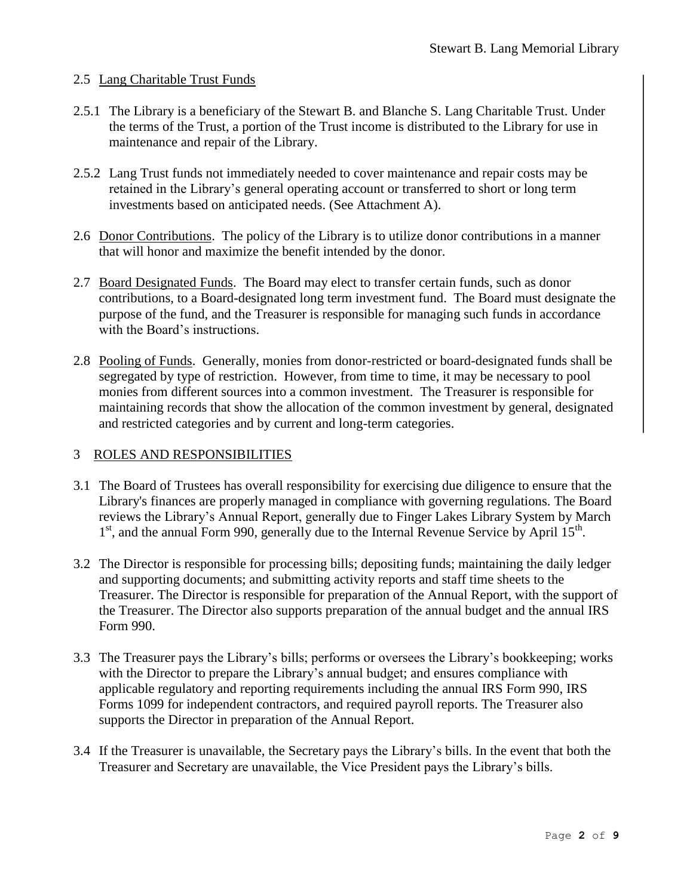# 2.5 Lang Charitable Trust Funds

- 2.5.1 The Library is a beneficiary of the Stewart B. and Blanche S. Lang Charitable Trust. Under the terms of the Trust, a portion of the Trust income is distributed to the Library for use in maintenance and repair of the Library.
- 2.5.2 Lang Trust funds not immediately needed to cover maintenance and repair costs may be retained in the Library's general operating account or transferred to short or long term investments based on anticipated needs. (See Attachment A).
- 2.6 Donor Contributions. The policy of the Library is to utilize donor contributions in a manner that will honor and maximize the benefit intended by the donor.
- 2.7 Board Designated Funds. The Board may elect to transfer certain funds, such as donor contributions, to a Board-designated long term investment fund. The Board must designate the purpose of the fund, and the Treasurer is responsible for managing such funds in accordance with the Board's instructions.
- 2.8 Pooling of Funds. Generally, monies from donor-restricted or board-designated funds shall be segregated by type of restriction. However, from time to time, it may be necessary to pool monies from different sources into a common investment. The Treasurer is responsible for maintaining records that show the allocation of the common investment by general, designated and restricted categories and by current and long-term categories.

#### 3 ROLES AND RESPONSIBILITIES

- 3.1 The Board of Trustees has overall responsibility for exercising due diligence to ensure that the Library's finances are properly managed in compliance with governing regulations. The Board reviews the Library's Annual Report, generally due to Finger Lakes Library System by March 1<sup>st</sup>, and the annual Form 990, generally due to the Internal Revenue Service by April 15<sup>th</sup>.
- 3.2 The Director is responsible for processing bills; depositing funds; maintaining the daily ledger and supporting documents; and submitting activity reports and staff time sheets to the Treasurer. The Director is responsible for preparation of the Annual Report, with the support of the Treasurer. The Director also supports preparation of the annual budget and the annual IRS Form 990.
- 3.3 The Treasurer pays the Library's bills; performs or oversees the Library's bookkeeping; works with the Director to prepare the Library's annual budget; and ensures compliance with applicable regulatory and reporting requirements including the annual IRS Form 990, IRS Forms 1099 for independent contractors, and required payroll reports. The Treasurer also supports the Director in preparation of the Annual Report.
- 3.4 If the Treasurer is unavailable, the Secretary pays the Library's bills. In the event that both the Treasurer and Secretary are unavailable, the Vice President pays the Library's bills.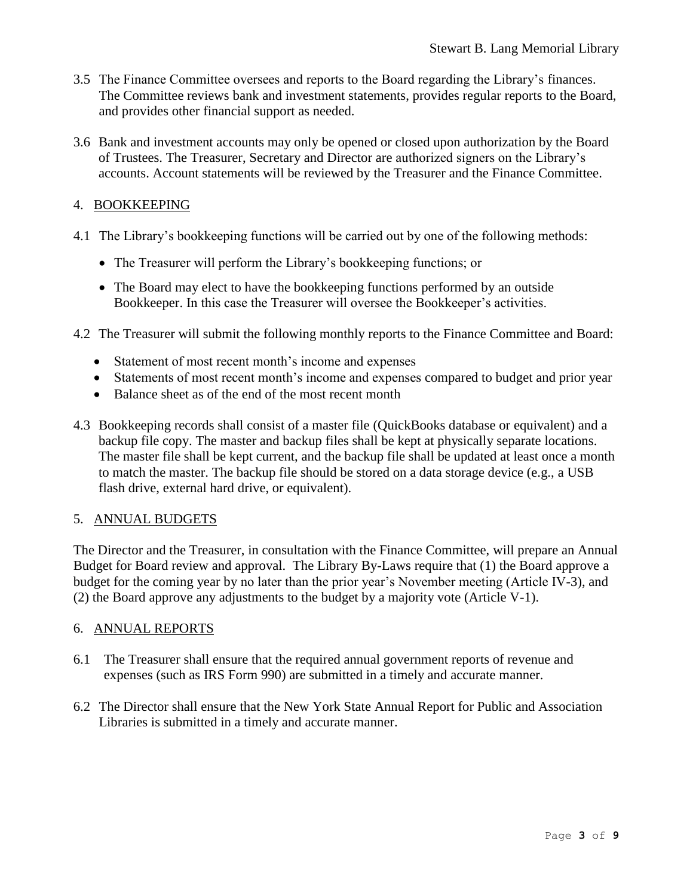- 3.5 The Finance Committee oversees and reports to the Board regarding the Library's finances. The Committee reviews bank and investment statements, provides regular reports to the Board, and provides other financial support as needed.
- 3.6 Bank and investment accounts may only be opened or closed upon authorization by the Board of Trustees. The Treasurer, Secretary and Director are authorized signers on the Library's accounts. Account statements will be reviewed by the Treasurer and the Finance Committee.

# 4. BOOKKEEPING

- 4.1 The Library's bookkeeping functions will be carried out by one of the following methods:
	- The Treasurer will perform the Library's bookkeeping functions; or
	- The Board may elect to have the bookkeeping functions performed by an outside Bookkeeper. In this case the Treasurer will oversee the Bookkeeper's activities.
- 4.2 The Treasurer will submit the following monthly reports to the Finance Committee and Board:
	- Statement of most recent month's income and expenses
	- Statements of most recent month's income and expenses compared to budget and prior year
	- Balance sheet as of the end of the most recent month
- 4.3 Bookkeeping records shall consist of a master file (QuickBooks database or equivalent) and a backup file copy. The master and backup files shall be kept at physically separate locations. The master file shall be kept current, and the backup file shall be updated at least once a month to match the master. The backup file should be stored on a data storage device (e.g., a USB flash drive, external hard drive, or equivalent).

#### 5. ANNUAL BUDGETS

The Director and the Treasurer, in consultation with the Finance Committee, will prepare an Annual Budget for Board review and approval. The Library By-Laws require that (1) the Board approve a budget for the coming year by no later than the prior year's November meeting (Article IV-3), and (2) the Board approve any adjustments to the budget by a majority vote (Article V-1).

#### 6. ANNUAL REPORTS

- 6.1 The Treasurer shall ensure that the required annual government reports of revenue and expenses (such as IRS Form 990) are submitted in a timely and accurate manner.
- 6.2 The Director shall ensure that the New York State Annual Report for Public and Association Libraries is submitted in a timely and accurate manner.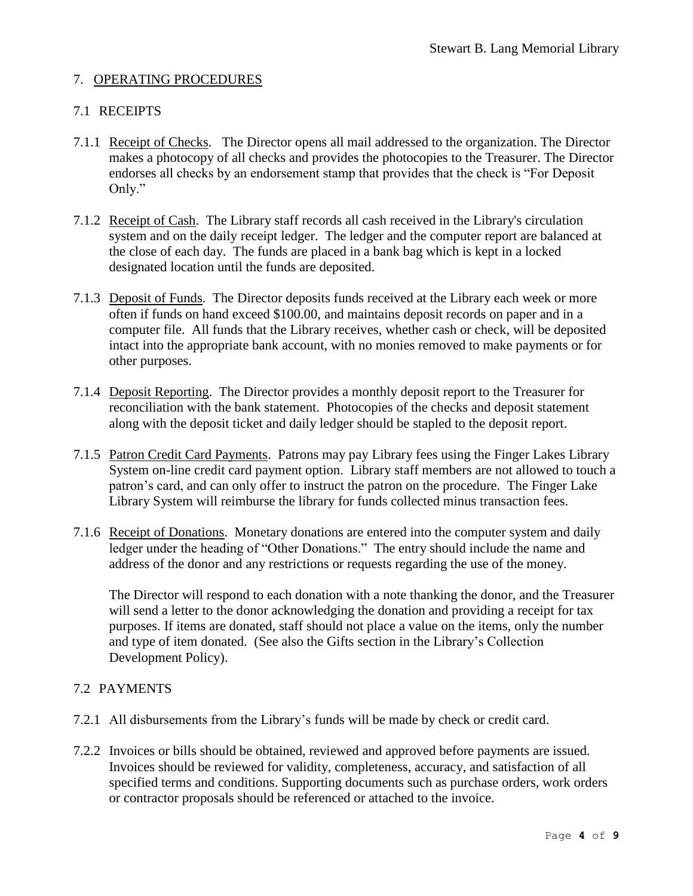# 7. OPERATING PROCEDURES

#### 7.1 RECEIPTS

- 7.1.1 Receipt of Checks. The Director opens all mail addressed to the organization. The Director makes a photocopy of all checks and provides the photocopies to the Treasurer. The Director endorses all checks by an endorsement stamp that provides that the check is "For Deposit Only."
- 7.1.2 Receipt of Cash. The Library staff records all cash received in the Library's circulation system and on the daily receipt ledger. The ledger and the computer report are balanced at the close of each day. The funds are placed in a bank bag which is kept in a locked designated location until the funds are deposited.
- 7.1.3 Deposit of Funds. The Director deposits funds received at the Library each week or more often if funds on hand exceed \$100.00, and maintains deposit records on paper and in a computer file. All funds that the Library receives, whether cash or check, will be deposited intact into the appropriate bank account, with no monies removed to make payments or for other purposes.
- 7.1.4 Deposit Reporting. The Director provides a monthly deposit report to the Treasurer for reconciliation with the bank statement. Photocopies of the checks and deposit statement along with the deposit ticket and daily ledger should be stapled to the deposit report.
- 7.1.5 Patron Credit Card Payments. Patrons may pay Library fees using the Finger Lakes Library System on-line credit card payment option. Library staff members are not allowed to touch a patron's card, and can only offer to instruct the patron on the procedure. The Finger Lake Library System will reimburse the library for funds collected minus transaction fees.
- 7.1.6 Receipt of Donations. Monetary donations are entered into the computer system and daily ledger under the heading of "Other Donations." The entry should include the name and address of the donor and any restrictions or requests regarding the use of the money.

The Director will respond to each donation with a note thanking the donor, and the Treasurer will send a letter to the donor acknowledging the donation and providing a receipt for tax purposes. If items are donated, staff should not place a value on the items, only the number and type of item donated. (See also the Gifts section in the Library's Collection Development Policy).

#### 7.2 PAYMENTS

- 7.2.1 All disbursements from the Library's funds will be made by check or credit card.
- 7.2.2 Invoices or bills should be obtained, reviewed and approved before payments are issued. Invoices should be reviewed for validity, completeness, accuracy, and satisfaction of all specified terms and conditions. Supporting documents such as purchase orders, work orders or contractor proposals should be referenced or attached to the invoice.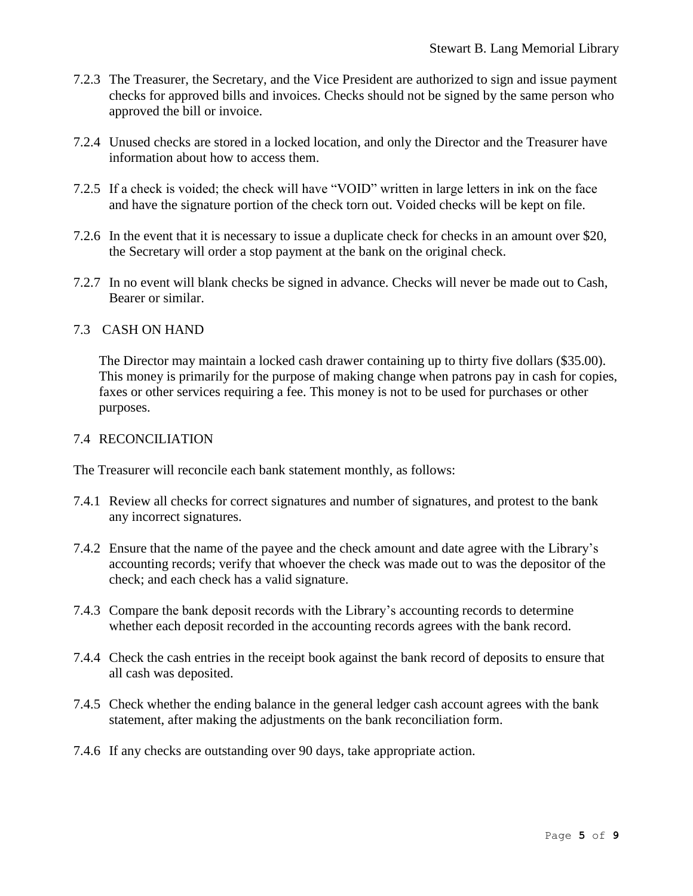- 7.2.3 The Treasurer, the Secretary, and the Vice President are authorized to sign and issue payment checks for approved bills and invoices. Checks should not be signed by the same person who approved the bill or invoice.
- 7.2.4 Unused checks are stored in a locked location, and only the Director and the Treasurer have information about how to access them.
- 7.2.5 If a check is voided; the check will have "VOID" written in large letters in ink on the face and have the signature portion of the check torn out. Voided checks will be kept on file.
- 7.2.6 In the event that it is necessary to issue a duplicate check for checks in an amount over \$20, the Secretary will order a stop payment at the bank on the original check.
- 7.2.7 In no event will blank checks be signed in advance. Checks will never be made out to Cash, Bearer or similar.

# 7.3 CASH ON HAND

The Director may maintain a locked cash drawer containing up to thirty five dollars (\$35.00). This money is primarily for the purpose of making change when patrons pay in cash for copies, faxes or other services requiring a fee. This money is not to be used for purchases or other purposes.

#### 7.4 RECONCILIATION

The Treasurer will reconcile each bank statement monthly, as follows:

- 7.4.1 Review all checks for correct signatures and number of signatures, and protest to the bank any incorrect signatures.
- 7.4.2 Ensure that the name of the payee and the check amount and date agree with the Library's accounting records; verify that whoever the check was made out to was the depositor of the check; and each check has a valid signature.
- 7.4.3 Compare the bank deposit records with the Library's accounting records to determine whether each deposit recorded in the accounting records agrees with the bank record.
- 7.4.4 Check the cash entries in the receipt book against the bank record of deposits to ensure that all cash was deposited.
- 7.4.5 Check whether the ending balance in the general ledger cash account agrees with the bank statement, after making the adjustments on the bank reconciliation form.
- 7.4.6 If any checks are outstanding over 90 days, take appropriate action.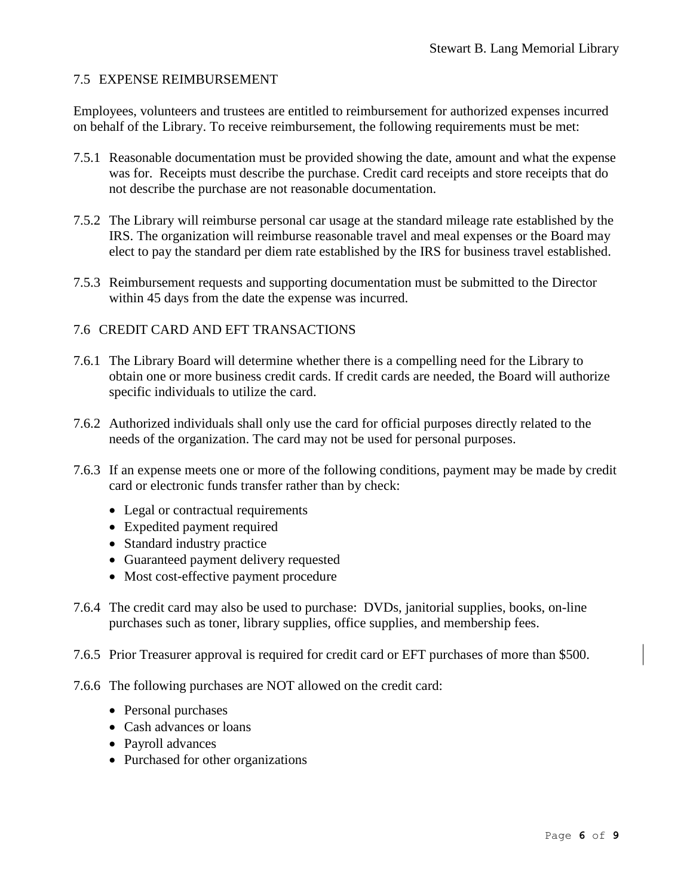#### 7.5 EXPENSE REIMBURSEMENT

Employees, volunteers and trustees are entitled to reimbursement for authorized expenses incurred on behalf of the Library. To receive reimbursement, the following requirements must be met:

- 7.5.1 Reasonable documentation must be provided showing the date, amount and what the expense was for. Receipts must describe the purchase. Credit card receipts and store receipts that do not describe the purchase are not reasonable documentation.
- 7.5.2 The Library will reimburse personal car usage at the standard mileage rate established by the IRS. The organization will reimburse reasonable travel and meal expenses or the Board may elect to pay the standard per diem rate established by the IRS for business travel established.
- 7.5.3 Reimbursement requests and supporting documentation must be submitted to the Director within 45 days from the date the expense was incurred.

#### 7.6 CREDIT CARD AND EFT TRANSACTIONS

- 7.6.1 The Library Board will determine whether there is a compelling need for the Library to obtain one or more business credit cards. If credit cards are needed, the Board will authorize specific individuals to utilize the card.
- 7.6.2 Authorized individuals shall only use the card for official purposes directly related to the needs of the organization. The card may not be used for personal purposes.
- 7.6.3 If an expense meets one or more of the following conditions, payment may be made by credit card or electronic funds transfer rather than by check:
	- Legal or contractual requirements
	- Expedited payment required
	- Standard industry practice
	- Guaranteed payment delivery requested
	- Most cost-effective payment procedure
- 7.6.4 The credit card may also be used to purchase: DVDs, janitorial supplies, books, on-line purchases such as toner, library supplies, office supplies, and membership fees.
- 7.6.5 Prior Treasurer approval is required for credit card or EFT purchases of more than \$500.
- 7.6.6 The following purchases are NOT allowed on the credit card:
	- Personal purchases
	- Cash advances or loans
	- Payroll advances
	- Purchased for other organizations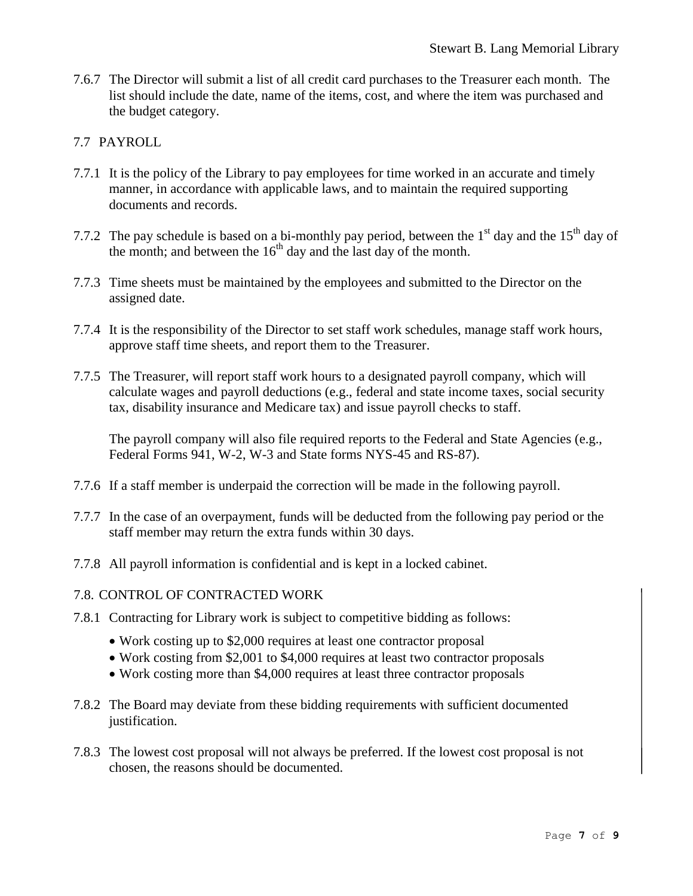7.6.7 The Director will submit a list of all credit card purchases to the Treasurer each month. The list should include the date, name of the items, cost, and where the item was purchased and the budget category.

#### 7.7 PAYROLL

- 7.7.1 It is the policy of the Library to pay employees for time worked in an accurate and timely manner, in accordance with applicable laws, and to maintain the required supporting documents and records.
- 7.7.2 The pay schedule is based on a bi-monthly pay period, between the  $1<sup>st</sup>$  day and the  $15<sup>th</sup>$  day of the month; and between the  $16<sup>th</sup>$  day and the last day of the month.
- 7.7.3 Time sheets must be maintained by the employees and submitted to the Director on the assigned date.
- 7.7.4 It is the responsibility of the Director to set staff work schedules, manage staff work hours, approve staff time sheets, and report them to the Treasurer.
- 7.7.5 The Treasurer, will report staff work hours to a designated payroll company, which will calculate wages and payroll deductions (e.g., federal and state income taxes, social security tax, disability insurance and Medicare tax) and issue payroll checks to staff.

The payroll company will also file required reports to the Federal and State Agencies (e.g., Federal Forms 941, W-2, W-3 and State forms NYS-45 and RS-87).

- 7.7.6 If a staff member is underpaid the correction will be made in the following payroll.
- 7.7.7 In the case of an overpayment, funds will be deducted from the following pay period or the staff member may return the extra funds within 30 days.
- 7.7.8 All payroll information is confidential and is kept in a locked cabinet.
- 7.8. CONTROL OF CONTRACTED WORK
- 7.8.1 Contracting for Library work is subject to competitive bidding as follows:
	- Work costing up to \$2,000 requires at least one contractor proposal
	- Work costing from \$2,001 to \$4,000 requires at least two contractor proposals
	- Work costing more than \$4,000 requires at least three contractor proposals
- 7.8.2 The Board may deviate from these bidding requirements with sufficient documented justification.
- 7.8.3 The lowest cost proposal will not always be preferred. If the lowest cost proposal is not chosen, the reasons should be documented.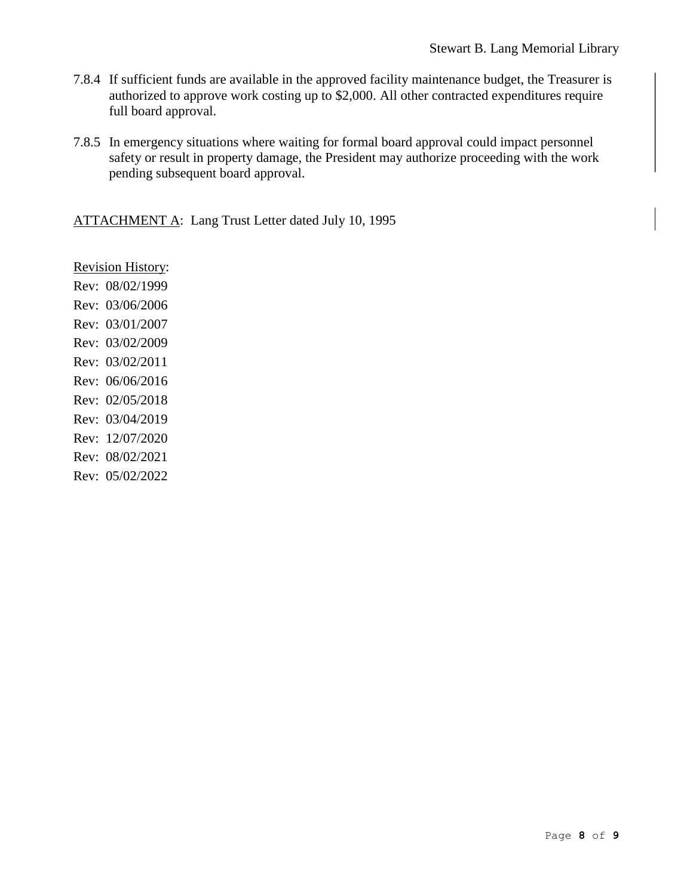- 7.8.4 If sufficient funds are available in the approved facility maintenance budget, the Treasurer is authorized to approve work costing up to \$2,000. All other contracted expenditures require full board approval.
- 7.8.5 In emergency situations where waiting for formal board approval could impact personnel safety or result in property damage, the President may authorize proceeding with the work pending subsequent board approval.

ATTACHMENT A: Lang Trust Letter dated July 10, 1995

Revision History: Rev: 08/02/1999 Rev: 03/06/2006 Rev: 03/01/2007 Rev: 03/02/2009 Rev: 03/02/2011 Rev: 06/06/2016 Rev: 02/05/2018 Rev: 03/04/2019 Rev: 12/07/2020 Rev: 08/02/2021 Rev: 05/02/2022